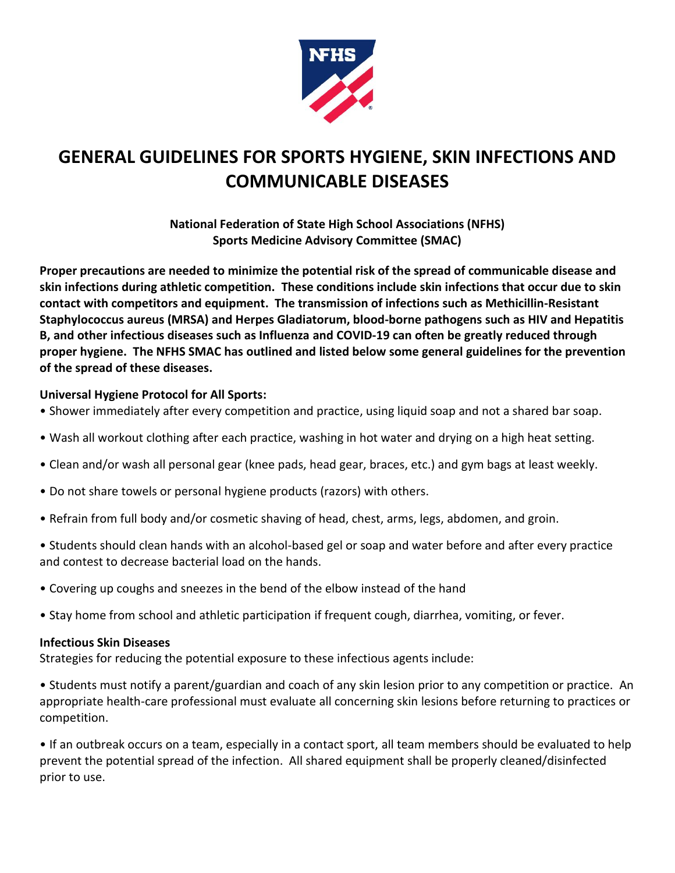

# **GENERAL GUIDELINES FOR SPORTS HYGIENE, SKIN INFECTIONS AND COMMUNICABLE DISEASES**

**National Federation of State High School Associations (NFHS) Sports Medicine Advisory Committee (SMAC)**

**Proper precautions are needed to minimize the potential risk of the spread of communicable disease and skin infections during athletic competition. These conditions include skin infections that occur due to skin contact with competitors and equipment. The transmission of infections such as Methicillin-Resistant Staphylococcus aureus (MRSA) and Herpes Gladiatorum, blood-borne pathogens such as HIV and Hepatitis B, and other infectious diseases such as Influenza and COVID-19 can often be greatly reduced through proper hygiene. The NFHS SMAC has outlined and listed below some general guidelines for the prevention of the spread of these diseases.** 

## **Universal Hygiene Protocol for All Sports:**

- Shower immediately after every competition and practice, using liquid soap and not a shared bar soap.
- Wash all workout clothing after each practice, washing in hot water and drying on a high heat setting.
- Clean and/or wash all personal gear (knee pads, head gear, braces, etc.) and gym bags at least weekly.
- Do not share towels or personal hygiene products (razors) with others.
- Refrain from full body and/or cosmetic shaving of head, chest, arms, legs, abdomen, and groin.
- Students should clean hands with an alcohol-based gel or soap and water before and after every practice and contest to decrease bacterial load on the hands.
- Covering up coughs and sneezes in the bend of the elbow instead of the hand
- Stay home from school and athletic participation if frequent cough, diarrhea, vomiting, or fever.

#### **Infectious Skin Diseases**

Strategies for reducing the potential exposure to these infectious agents include:

• Students must notify a parent/guardian and coach of any skin lesion prior to any competition or practice. An appropriate health-care professional must evaluate all concerning skin lesions before returning to practices or competition.

• If an outbreak occurs on a team, especially in a contact sport, all team members should be evaluated to help prevent the potential spread of the infection. All shared equipment shall be properly cleaned/disinfected prior to use.